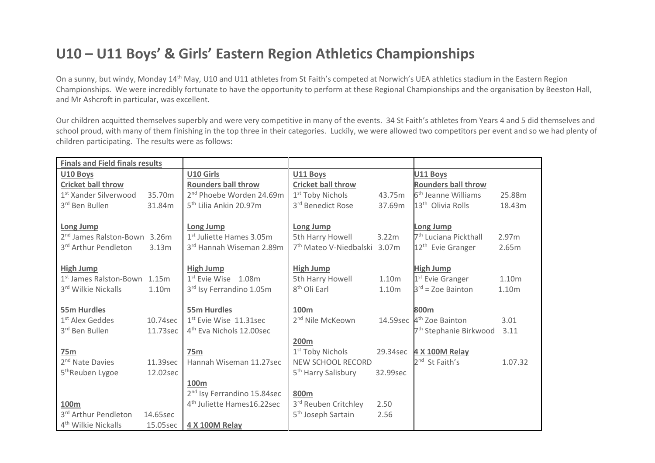## **U10 – U11 Boys' & Girls' Eastern Region Athletics Championships**

On a sunny, but windy, Monday 14<sup>th</sup> May, U10 and U11 athletes from St Faith's competed at Norwich's UEA athletics stadium in the Eastern Region Championships. We were incredibly fortunate to have the opportunity to perform at these Regional Championships and the organisation by Beeston Hall, and Mr Ashcroft in particular, was excellent.

Our children acquitted themselves superbly and were very competitive in many of the events. 34 St Faith's athletes from Years 4 and 5 did themselves and school proud, with many of them finishing in the top three in their categories. Luckily, we were allowed two competitors per event and so we had plenty of children participating. The results were as follows:

| <b>Finals and Field finals results</b>   |          |                                         |                                          |                   |                                      |         |
|------------------------------------------|----------|-----------------------------------------|------------------------------------------|-------------------|--------------------------------------|---------|
| U10 Boys                                 |          | U10 Girls                               | U11 Boys                                 |                   | U11 Boys                             |         |
| <b>Cricket ball throw</b>                |          | <b>Rounders ball throw</b>              | <b>Cricket ball throw</b>                |                   | <b>Rounders ball throw</b>           |         |
| 1 <sup>st</sup> Xander Silverwood        | 35.70m   | 2 <sup>nd</sup> Phoebe Worden 24.69m    | 1 <sup>st</sup> Toby Nichols             | 43.75m            | 6 <sup>th</sup> Jeanne Williams      | 25.88m  |
| 3rd Ben Bullen                           | 31.84m   | 5 <sup>th</sup> Lilia Ankin 20.97m      | 3rd Benedict Rose                        | 37.69m            | 13 <sup>th</sup> Olivia Rolls        | 18.43m  |
|                                          |          |                                         |                                          |                   |                                      |         |
| <b>Long Jump</b>                         |          | <b>Long Jump</b>                        | Long Jump                                |                   | Long Jump                            |         |
| 2 <sup>nd</sup> James Ralston-Bown 3.26m |          | 1 <sup>st</sup> Juliette Hames 3.05m    | 5th Harry Howell                         | 3.22m             | 7 <sup>th</sup> Luciana Pickthall    | 2.97m   |
| 3rd Arthur Pendleton                     | 3.13m    | 3rd Hannah Wiseman 2.89m                | 7 <sup>th</sup> Mateo V-Niedbalski 3.07m |                   | 12 <sup>th</sup> Evie Granger        | 2.65m   |
|                                          |          |                                         |                                          |                   |                                      |         |
| <b>High Jump</b>                         |          | <b>High Jump</b>                        | <b>High Jump</b>                         |                   | <b>High Jump</b>                     |         |
| 1 <sup>st</sup> James Ralston-Bown 1.15m |          | $1st$ Evie Wise $1.08m$                 | 5th Harry Howell                         | 1.10m             | 1 <sup>st</sup> Evie Granger         | 1.10m   |
| 3rd Wilkie Nickalls                      | 1.10m    | 3rd Isy Ferrandino 1.05m                | 8 <sup>th</sup> Oli Earl                 | 1.10 <sub>m</sub> | $3^{rd}$ = Zoe Bainton               | 1.10m   |
|                                          |          |                                         |                                          |                   |                                      |         |
| 55m Hurdles                              |          | 55m Hurdles                             | 100m                                     |                   | 800m                                 |         |
| 1 <sup>st</sup> Alex Geddes              | 10.74sec | 1st Evie Wise 11.31sec                  | 2 <sup>nd</sup> Nile McKeown             |                   | 14.59sec 4 <sup>th</sup> Zoe Bainton | 3.01    |
| 3rd Ben Bullen                           | 11.73sec | 4 <sup>th</sup> Eva Nichols 12.00sec    |                                          |                   | 7 <sup>th</sup> Stephanie Birkwood   | 3.11    |
|                                          |          |                                         | <b>200m</b>                              |                   |                                      |         |
| 75m                                      |          | <b>75m</b>                              | 1 <sup>st</sup> Toby Nichols             |                   | 29.34sec 4 X 100M Relay              |         |
| 2 <sup>nd</sup> Nate Davies              | 11.39sec | Hannah Wiseman 11.27sec                 | NEW SCHOOL RECORD                        |                   | 2 <sup>nd</sup> St Faith's           | 1.07.32 |
| 5 <sup>th</sup> Reuben Lygoe             | 12.02sec |                                         | 5 <sup>th</sup> Harry Salisbury          | 32.99sec          |                                      |         |
|                                          |          | 100m                                    |                                          |                   |                                      |         |
|                                          |          | 2 <sup>nd</sup> Isy Ferrandino 15.84sec | 800m                                     |                   |                                      |         |
| 100m                                     |          | 4 <sup>th</sup> Juliette Hames16.22sec  | 3rd Reuben Critchley                     | 2.50              |                                      |         |
| 3rd Arthur Pendleton                     | 14.65sec |                                         | 5 <sup>th</sup> Joseph Sartain           | 2.56              |                                      |         |
| 4 <sup>th</sup> Wilkie Nickalls          | 15.05sec | <b>4 X 100M Relay</b>                   |                                          |                   |                                      |         |